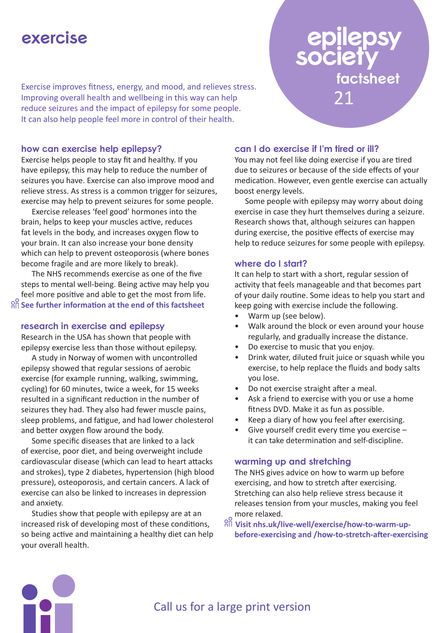# **exercise**

Exercise improves fitness, energy, and mood, and relieves stress. Improving overall health and wellbeing in this way can help reduce seizures and the impact of epilepsy for some people. It can also help people feel more in control of their health.

#### **how can exercise help epilepsy?**

Exercise helps people to stay fit and healthy. If you have epilepsy, this may help to reduce the number of seizures you have. Exercise can also improve mood and relieve stress. As stress is a common trigger for seizures, exercise may help to prevent seizures for some people.

Exercise releases 'feel good' hormones into the brain, helps to keep your muscles active, reduces fat levels in the body, and increases oxygen flow to your brain. It can also increase your bone density which can help to prevent osteoporosis (where bones become fragile and are more likely to break).

The NHS recommends exercise as one of the five steps to mental well-being. Being active may help you feel more positive and able to get the most from life. **See further information at the end of this factsheet**

#### **research in exercise and epilepsy**

Research in the USA has shown that people with epilepsy exercise less than those without epilepsy.

A study in Norway of women with uncontrolled epilepsy showed that regular sessions of aerobic exercise (for example running, walking, swimming, cycling) for 60 minutes, twice a week, for 15 weeks resulted in a significant reduction in the number of seizures they had. They also had fewer muscle pains, sleep problems, and fatigue, and had lower cholesterol and better oxygen flow around the body.

Some specific diseases that are linked to a lack of exercise, poor diet, and being overweight include cardiovascular disease (which can lead to heart attacks and strokes), type 2 diabetes, hypertension (high blood pressure), osteoporosis, and certain cancers. A lack of exercise can also be linked to increases in depression and anxiety.

Studies show that people with epilepsy are at an increased risk of developing most of these conditions, so being active and maintaining a healthy diet can help your overall health.

#### **can I do exercise if I'm tired or ill?**

You may not feel like doing exercise if you are tired due to seizures or because of the side effects of your medication. However, even gentle exercise can actually boost energy levels.

21

**factsheet**

Some people with epilepsy may worry about doing exercise in case they hurt themselves during a seizure. Research shows that, although seizures can happen during exercise, the positive effects of exercise may help to reduce seizures for some people with epilepsy.

#### **where do I start?**

It can help to start with a short, regular session of activity that feels manageable and that becomes part of your daily routine. Some ideas to help you start and keep going with exercise include the following.

- Warm up (see below).
- Walk around the block or even around your house regularly, and gradually increase the distance.
- Do exercise to music that you enjoy.
- Drink water, diluted fruit juice or squash while you exercise, to help replace the fluids and body salts you lose.
- Do not exercise straight after a meal.
- Ask a friend to exercise with you or use a home fitness DVD. Make it as fun as possible.
- Keep a diary of how you feel after exercising.
- Give yourself credit every time you exercise it can take determination and self-discipline.

#### **warming up and stretching**

The NHS gives advice on how to warm up before exercising, and how to stretch after exercising. Stretching can also help relieve stress because it releases tension from your muscles, making you feel more relaxed.

 $\frac{\partial \widetilde{H}}{\partial \widetilde{H}}$  Visit nhs.uk/live-well/exercise/how-to-warm-up**before-exercising and /how-to-stretch-after-exercising**



## Call us for a large print version